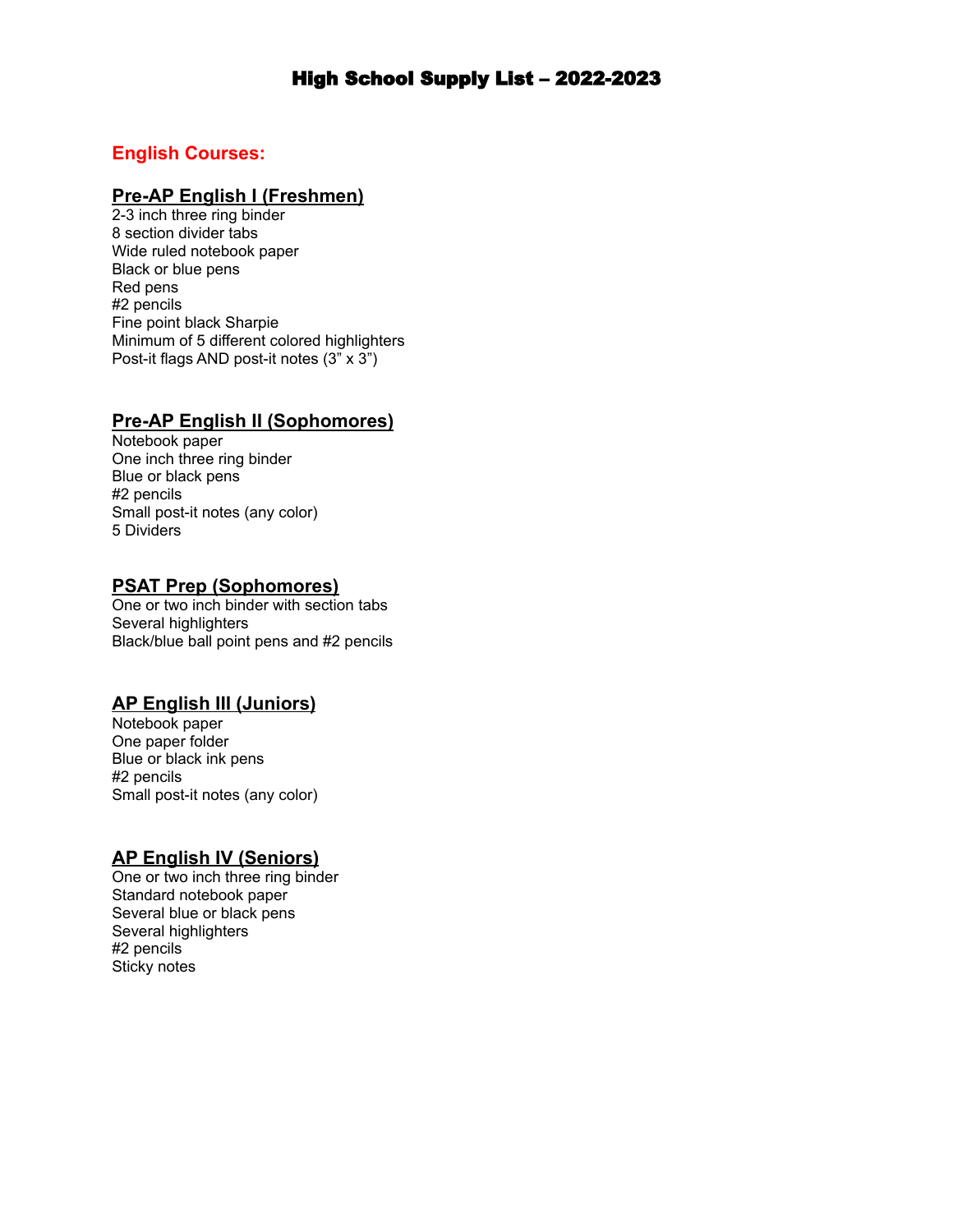# High School Supply List – 2022-2023

## **English Courses:**

### **Pre-AP English I (Freshmen)**

2-3 inch three ring binder 8 section divider tabs Wide ruled notebook paper Black or blue pens Red pens #2 pencils Fine point black Sharpie Minimum of 5 different colored highlighters Post-it flags AND post-it notes (3" x 3")

### **Pre-AP English II (Sophomores)**

Notebook paper One inch three ring binder Blue or black pens #2 pencils Small post-it notes (any color) 5 Dividers

#### **PSAT Prep (Sophomores)**

One or two inch binder with section tabs Several highlighters Black/blue ball point pens and #2 pencils

### **AP English III (Juniors)**

Notebook paper One paper folder Blue or black ink pens #2 pencils Small post-it notes (any color)

### **AP English IV (Seniors)**

One or two inch three ring binder Standard notebook paper Several blue or black pens Several highlighters #2 pencils Sticky notes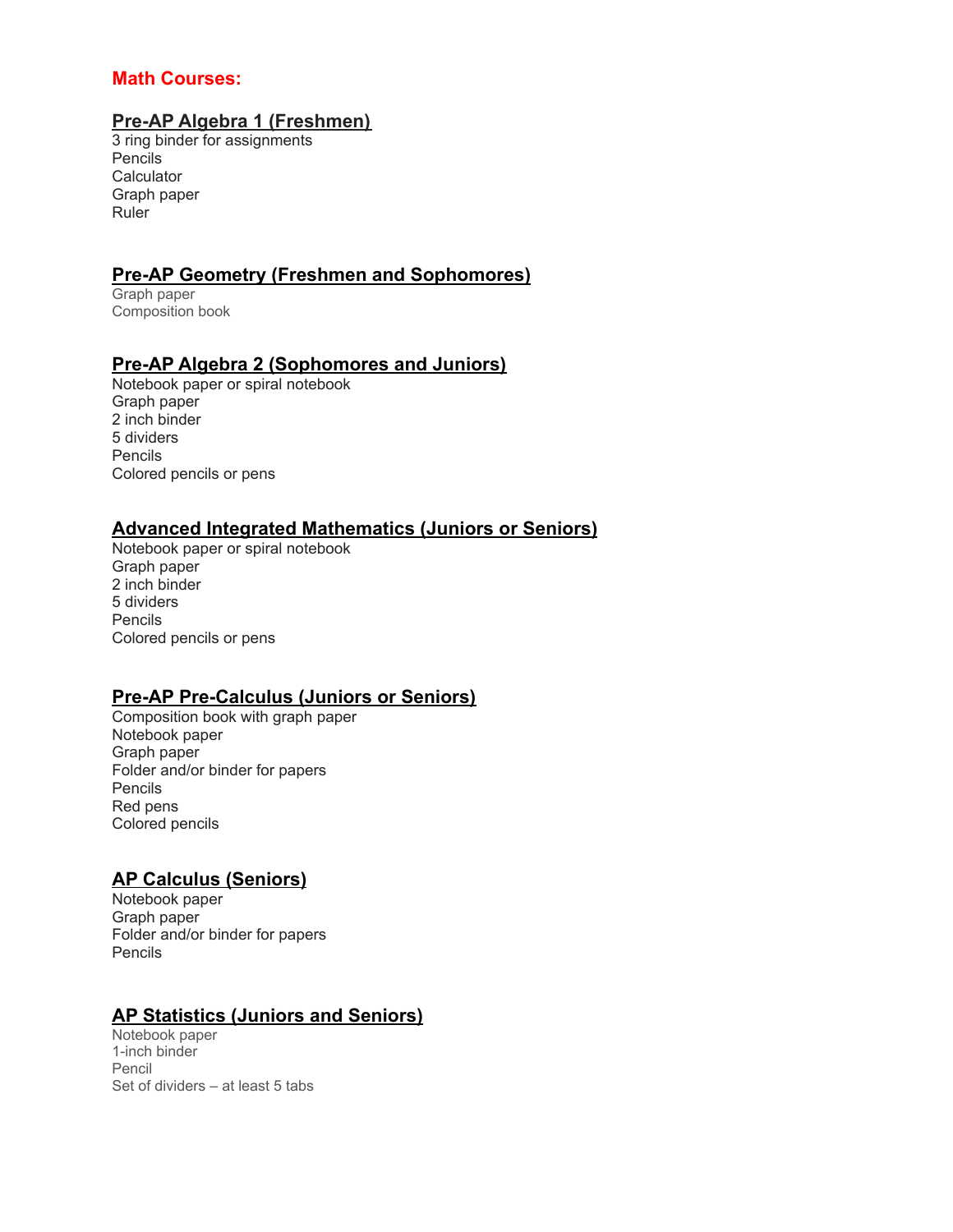## **Math Courses:**

## **Pre-AP Algebra 1 (Freshmen)**

3 ring binder for assignments Pencils **Calculator** Graph paper Ruler

# **Pre-AP Geometry (Freshmen and Sophomores)**

Graph paper Composition book

## **Pre-AP Algebra 2 (Sophomores and Juniors)**

Notebook paper or spiral notebook Graph paper 2 inch binder 5 dividers Pencils Colored pencils or pens

# **Advanced Integrated Mathematics (Juniors or Seniors)**

Notebook paper or spiral notebook Graph paper 2 inch binder 5 dividers Pencils Colored pencils or pens

# **Pre-AP Pre-Calculus (Juniors or Seniors)**

Composition book with graph paper Notebook paper Graph paper Folder and/or binder for papers Pencils Red pens Colored pencils

# **AP Calculus (Seniors)**

Notebook paper Graph paper Folder and/or binder for papers Pencils

### **AP Statistics (Juniors and Seniors)**

Notebook paper 1-inch binder Pencil Set of dividers – at least 5 tabs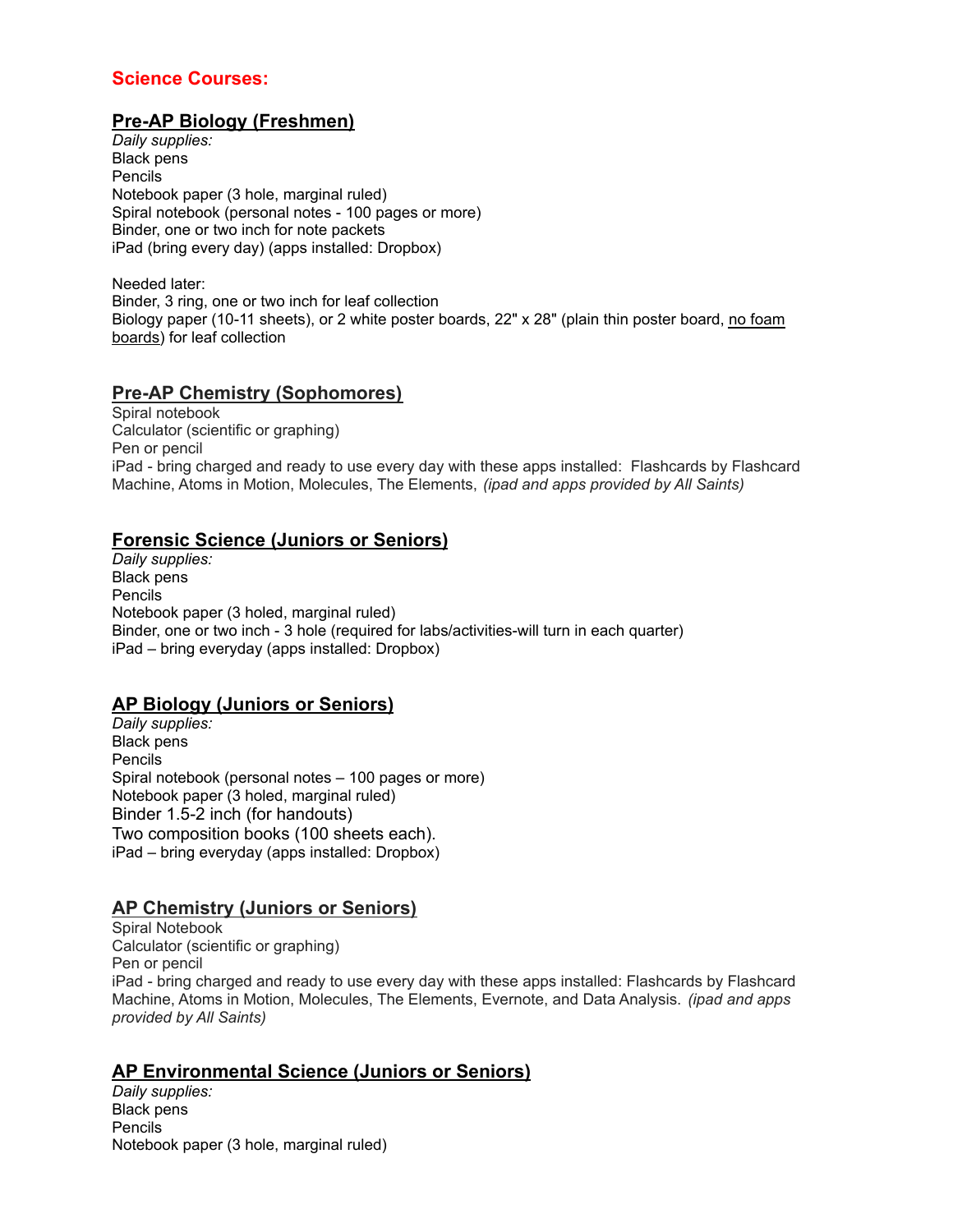## **Science Courses:**

# **Pre-AP Biology (Freshmen)**

*Daily supplies:* Black pens Pencils Notebook paper (3 hole, marginal ruled) Spiral notebook (personal notes - 100 pages or more) Binder, one or two inch for note packets iPad (bring every day) (apps installed: Dropbox)

Needed later: Binder, 3 ring, one or two inch for leaf collection Biology paper (10-11 sheets), or 2 white poster boards, 22" x 28" (plain thin poster board, no foam boards) for leaf collection

## **Pre-AP Chemistry (Sophomores)**

Spiral notebook Calculator (scientific or graphing) Pen or pencil iPad - bring charged and ready to use every day with these apps installed: Flashcards by Flashcard Machine, Atoms in Motion, Molecules, The Elements, *(ipad and apps provided by All Saints)*

## **Forensic Science (Juniors or Seniors)**

*Daily supplies:* Black pens Pencils Notebook paper (3 holed, marginal ruled) Binder, one or two inch - 3 hole (required for labs/activities-will turn in each quarter) iPad – bring everyday (apps installed: Dropbox)

# **AP Biology (Juniors or Seniors)**

*Daily supplies:* Black pens Pencils Spiral notebook (personal notes – 100 pages or more) Notebook paper (3 holed, marginal ruled) Binder 1.5-2 inch (for handouts) Two composition books (100 sheets each). iPad – bring everyday (apps installed: Dropbox)

# **AP Chemistry (Juniors or Seniors)**

Spiral Notebook Calculator (scientific or graphing) Pen or pencil iPad - bring charged and ready to use every day with these apps installed: Flashcards by Flashcard Machine, Atoms in Motion, Molecules, The Elements, Evernote, and Data Analysis. *(ipad and apps provided by All Saints)*

# **AP Environmental Science (Juniors or Seniors)**

*Daily supplies:* Black pens Pencils Notebook paper (3 hole, marginal ruled)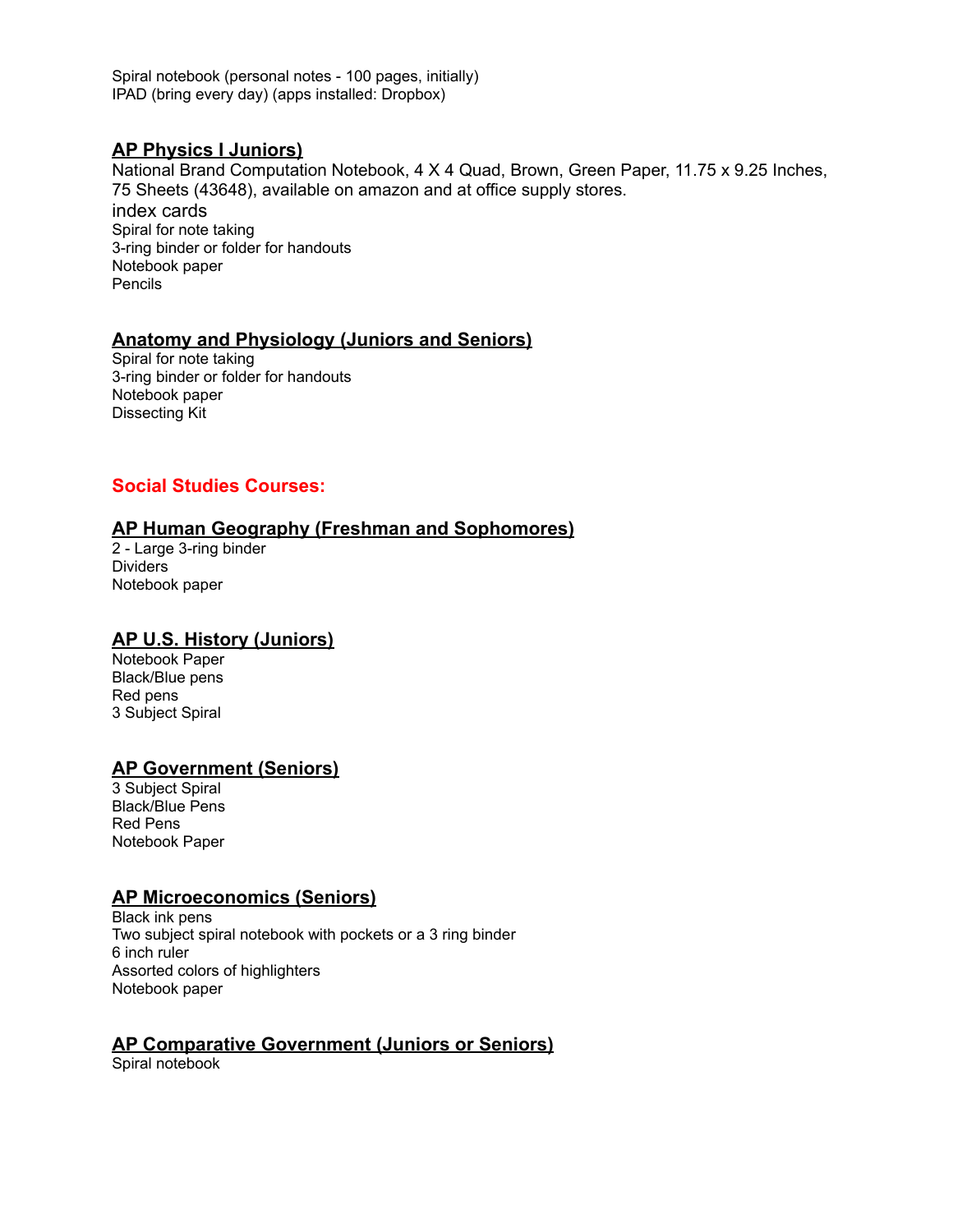Spiral notebook (personal notes - 100 pages, initially) IPAD (bring every day) (apps installed: Dropbox)

### **AP Physics I Juniors)**

National Brand Computation Notebook, 4 X 4 Quad, Brown, Green Paper, 11.75 x 9.25 Inches, 75 Sheets (43648), available on amazon and at office supply stores. index cards Spiral for note taking 3-ring binder or folder for handouts Notebook paper Pencils

## **Anatomy and Physiology (Juniors and Seniors)**

Spiral for note taking 3-ring binder or folder for handouts Notebook paper Dissecting Kit

# **Social Studies Courses:**

## **AP Human Geography (Freshman and Sophomores)**

2 - Large 3-ring binder Dividers Notebook paper

### **AP U.S. History (Juniors)**

Notebook Paper Black/Blue pens Red pens 3 Subject Spiral

### **AP Government (Seniors)**

3 Subject Spiral Black/Blue Pens Red Pens Notebook Paper

### **AP Microeconomics (Seniors)**

Black ink pens Two subject spiral notebook with pockets or a 3 ring binder 6 inch ruler Assorted colors of highlighters Notebook paper

# **AP Comparative Government (Juniors or Seniors)**

Spiral notebook